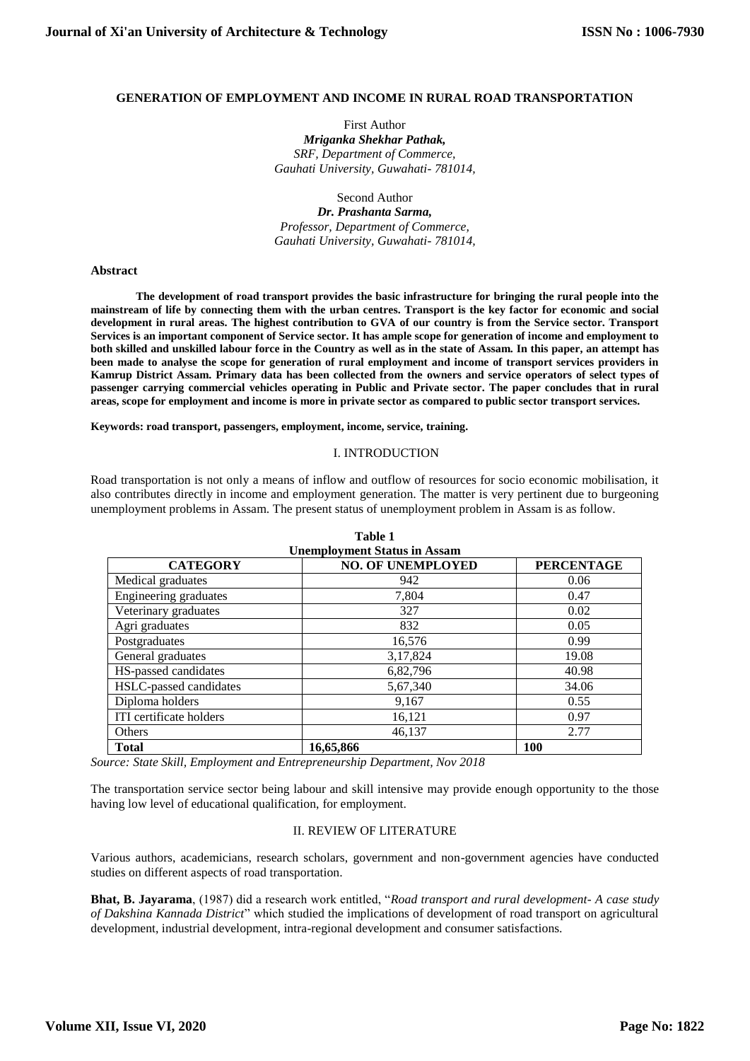#### **GENERATION OF EMPLOYMENT AND INCOME IN RURAL ROAD TRANSPORTATION**

First Author *Mriganka Shekhar Pathak, SRF, Department of Commerce, Gauhati University, Guwahati- 781014,*

Second Author *Dr. Prashanta Sarma, Professor, Department of Commerce, Gauhati University, Guwahati- 781014,*

#### **Abstract**

**The development of road transport provides the basic infrastructure for bringing the rural people into the mainstream of life by connecting them with the urban centres. Transport is the key factor for economic and social development in rural areas. The highest contribution to GVA of our country is from the Service sector. Transport Services is an important component of Service sector. It has ample scope for generation of income and employment to both skilled and unskilled labour force in the Country as well as in the state of Assam. In this paper, an attempt has been made to analyse the scope for generation of rural employment and income of transport services providers in Kamrup District Assam. Primary data has been collected from the owners and service operators of select types of passenger carrying commercial vehicles operating in Public and Private sector. The paper concludes that in rural areas, scope for employment and income is more in private sector as compared to public sector transport services.**

**Keywords: road transport, passengers, employment, income, service, training.**

#### I. INTRODUCTION

Road transportation is not only a means of inflow and outflow of resources for socio economic mobilisation, it also contributes directly in income and employment generation. The matter is very pertinent due to burgeoning unemployment problems in Assam. The present status of unemployment problem in Assam is as follow.

| <b>Unemployment Status in Assam</b> |                          |                   |  |  |  |
|-------------------------------------|--------------------------|-------------------|--|--|--|
| <b>CATEGORY</b>                     | <b>NO. OF UNEMPLOYED</b> | <b>PERCENTAGE</b> |  |  |  |
| Medical graduates                   | 942                      | 0.06              |  |  |  |
| Engineering graduates               | 7,804                    | 0.47              |  |  |  |
| Veterinary graduates                | 327                      | 0.02              |  |  |  |
| Agri graduates                      | 832                      | 0.05              |  |  |  |
| Postgraduates                       | 16,576                   | 0.99              |  |  |  |
| General graduates                   | 3,17,824                 | 19.08             |  |  |  |
| HS-passed candidates                | 6,82,796                 | 40.98             |  |  |  |
| HSLC-passed candidates              | 5,67,340                 | 34.06             |  |  |  |
| Diploma holders                     | 9,167                    | 0.55              |  |  |  |
| ITI certificate holders             | 16,121                   | 0.97              |  |  |  |
| Others                              | 46,137                   | 2.77              |  |  |  |
| <b>Total</b>                        | 16,65,866                | <b>100</b>        |  |  |  |

**Table 1**

*Source: State Skill, Employment and Entrepreneurship Department, Nov 2018*

The transportation service sector being labour and skill intensive may provide enough opportunity to the those having low level of educational qualification, for employment.

#### II. REVIEW OF LITERATURE

Various authors, academicians, research scholars, government and non-government agencies have conducted studies on different aspects of road transportation.

**Bhat, B. Jayarama**, (1987) did a research work entitled, "*Road transport and rural development- A case study of Dakshina Kannada District*" which studied the implications of development of road transport on agricultural development, industrial development, intra-regional development and consumer satisfactions.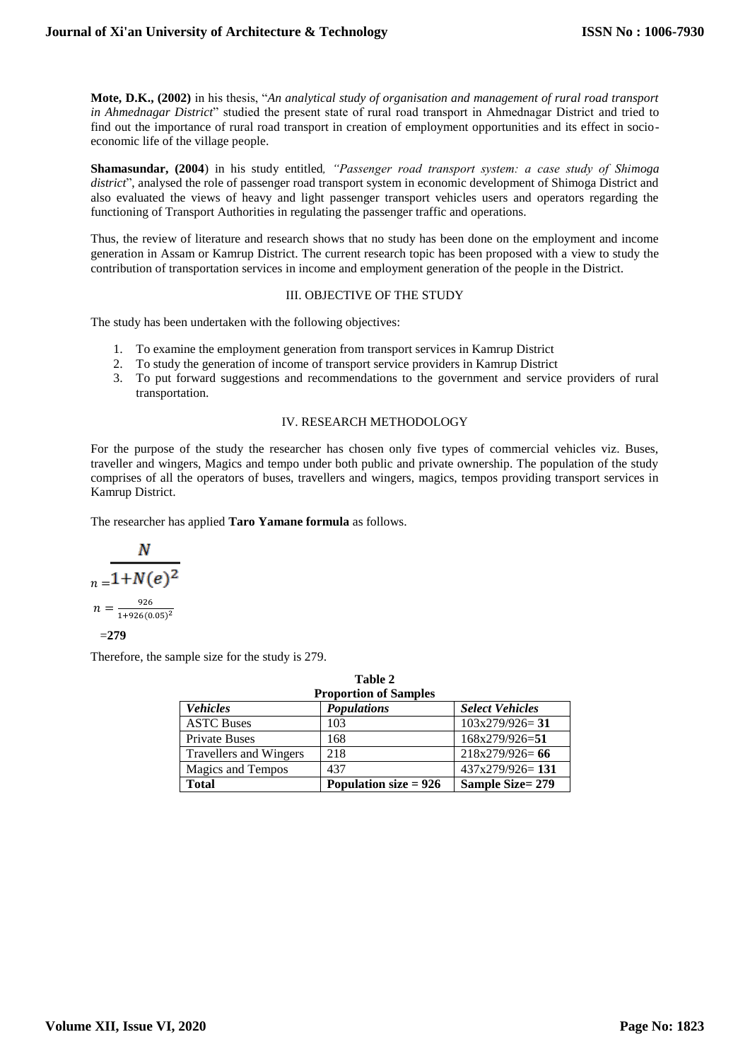**Mote, D.K., (2002)** in his thesis, "*An analytical study of organisation and management of rural road transport in Ahmednagar District*" studied the present state of rural road transport in Ahmednagar District and tried to find out the importance of rural road transport in creation of employment opportunities and its effect in socioeconomic life of the village people.

**Shamasundar, (2004**) in his study entitled*, "Passenger road transport system: a case study of Shimoga district*", analysed the role of passenger road transport system in economic development of Shimoga District and also evaluated the views of heavy and light passenger transport vehicles users and operators regarding the functioning of Transport Authorities in regulating the passenger traffic and operations.

Thus, the review of literature and research shows that no study has been done on the employment and income generation in Assam or Kamrup District. The current research topic has been proposed with a view to study the contribution of transportation services in income and employment generation of the people in the District.

## III. OBJECTIVE OF THE STUDY

The study has been undertaken with the following objectives:

- 1. To examine the employment generation from transport services in Kamrup District
- 2. To study the generation of income of transport service providers in Kamrup District
- 3. To put forward suggestions and recommendations to the government and service providers of rural transportation.

#### IV. RESEARCH METHODOLOGY

For the purpose of the study the researcher has chosen only five types of commercial vehicles viz. Buses, traveller and wingers, Magics and tempo under both public and private ownership. The population of the study comprises of all the operators of buses, travellers and wingers, magics, tempos providing transport services in Kamrup District.

The researcher has applied **Taro Yamane formula** as follows.

$$
\frac{N}{n = \frac{1 + N(e)^2}{n = \frac{926}{1 + 926(0.05)^2}}}
$$
  
= 279

Therefore, the sample size for the study is 279.

| Table 2                  |                              |                        |  |  |  |  |
|--------------------------|------------------------------|------------------------|--|--|--|--|
|                          | <b>Proportion of Samples</b> |                        |  |  |  |  |
| <b>Vehicles</b>          | <b>Populations</b>           | <b>Select Vehicles</b> |  |  |  |  |
| <b>ASTC Buses</b>        | 103                          | $103x279/926 = 31$     |  |  |  |  |
| <b>Private Buses</b>     | 168                          | 168x279/926=51         |  |  |  |  |
| Travellers and Wingers   | 218                          | $218x279/926=66$       |  |  |  |  |
| <b>Magics and Tempos</b> | 437                          | $437x279/926=131$      |  |  |  |  |
| <b>Total</b>             | Population size $= 926$      | Sample Size=279        |  |  |  |  |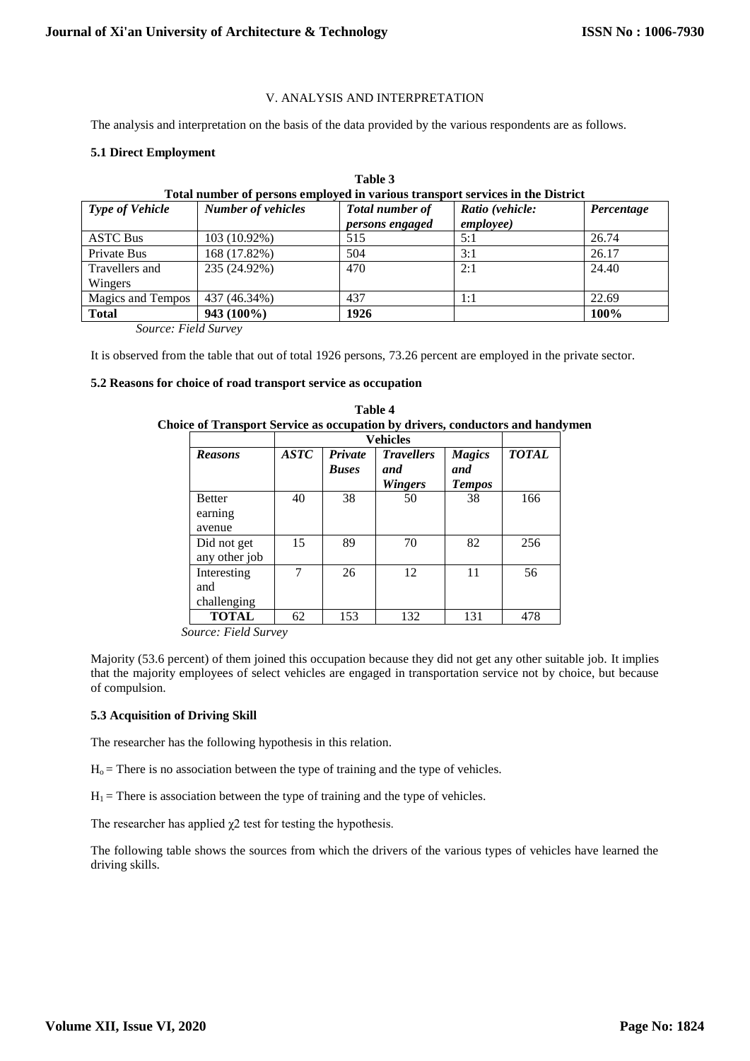#### V. ANALYSIS AND INTERPRETATION

The analysis and interpretation on the basis of the data provided by the various respondents are as follows.

# **5.1 Direct Employment**

| <b>Type of Vehicle</b>    | Total number of persons employed in various transport services in the District<br><b>Number of vehicles</b> | Total number of<br>persons engaged | Ratio (vehicle:<br><i>employee</i> ) | Percentage |
|---------------------------|-------------------------------------------------------------------------------------------------------------|------------------------------------|--------------------------------------|------------|
| <b>ASTC Bus</b>           | 103 (10.92%)                                                                                                | 515                                | 5:1                                  | 26.74      |
| Private Bus               | 168 (17.82%)                                                                                                | 504                                | 3:1                                  | 26.17      |
| Travellers and<br>Wingers | 235 (24.92%)                                                                                                | 470                                | 2:1                                  | 24.40      |
| Magics and Tempos         | 437 (46.34%)                                                                                                | 437                                | 1:1                                  | 22.69      |
| <b>Total</b>              | 943 (100%)                                                                                                  | 1926                               |                                      | 100%       |

**Table 3** 

*Source: Field Survey*

It is observed from the table that out of total 1926 persons, 73.26 percent are employed in the private sector.

#### **5.2 Reasons for choice of road transport service as occupation**

| <b>Reasons</b>                     | <b>ASTC</b> | Private<br><b>Buses</b> | <b>Travellers</b><br>and<br><b>Wingers</b> | <b>Magics</b><br>and<br><b>Tempos</b> | <b>TOTAL</b> |
|------------------------------------|-------------|-------------------------|--------------------------------------------|---------------------------------------|--------------|
| <b>Better</b><br>earning<br>avenue | 40          | 38                      | 50                                         | 38                                    | 166          |
| Did not get<br>any other job       | 15          | 89                      | 70                                         | 82                                    | 256          |
| Interesting<br>and<br>challenging  | 7           | 26                      | 12                                         | 11                                    | 56           |
| <b>TOTAL</b>                       | 62          | 153                     | 132                                        | 131                                   | 478          |

|                                                                                      |  | <b>Table 4</b> |  |  |  |
|--------------------------------------------------------------------------------------|--|----------------|--|--|--|
| <b>Choice of Transport Service as occupation by drivers, conductors and handymen</b> |  |                |  |  |  |
|                                                                                      |  |                |  |  |  |

*Source: Field Survey*

Majority (53.6 percent) of them joined this occupation because they did not get any other suitable job. It implies that the majority employees of select vehicles are engaged in transportation service not by choice, but because of compulsion.

# **5.3 Acquisition of Driving Skill**

The researcher has the following hypothesis in this relation.

 $H<sub>o</sub>$  = There is no association between the type of training and the type of vehicles.

 $H_1$  = There is association between the type of training and the type of vehicles.

The researcher has applied  $\chi$ 2 test for testing the hypothesis.

The following table shows the sources from which the drivers of the various types of vehicles have learned the driving skills.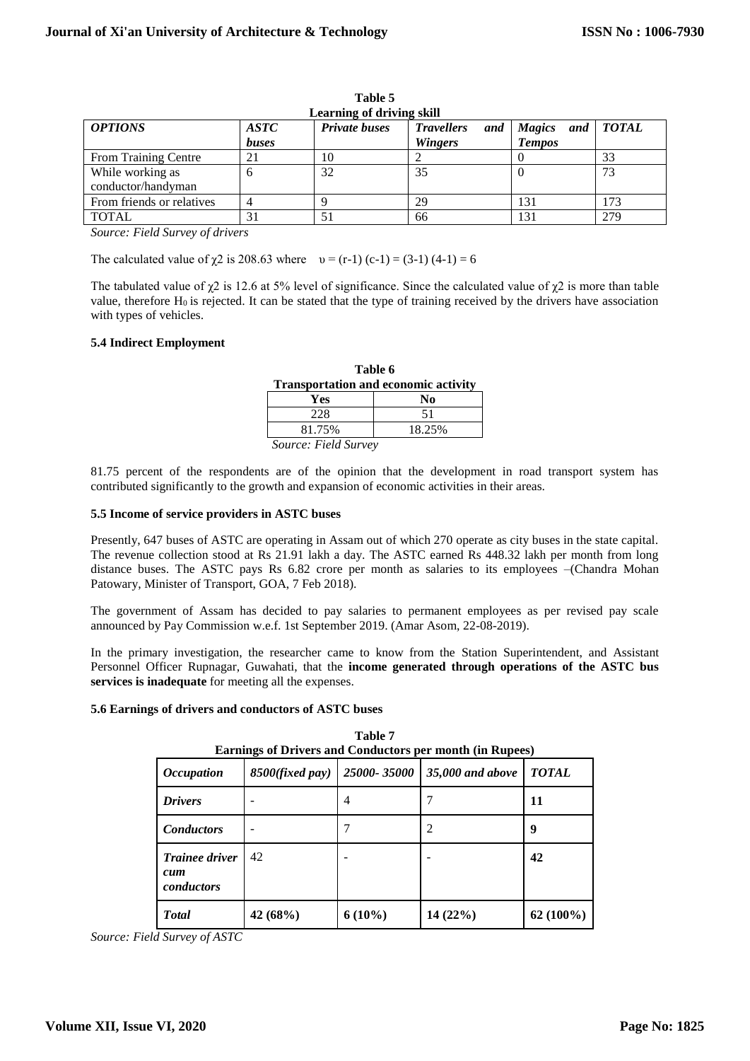| <b>OPTIONS</b>                         | <b>ASTC</b><br>buses | <b>Private buses</b> | <b>Travellers</b><br>and<br><b>Wingers</b> | Magics and TOTAL<br><b>Tempos</b> |     |
|----------------------------------------|----------------------|----------------------|--------------------------------------------|-----------------------------------|-----|
| <b>From Training Centre</b>            |                      |                      |                                            |                                   | 33  |
| While working as<br>conductor/handyman |                      | 32                   | 35                                         |                                   | 73  |
| From friends or relatives              |                      |                      | 29                                         |                                   | 173 |
| <b>TOTAL</b>                           |                      |                      | 66                                         |                                   | 279 |

**Table 5 Learning of driving skill**

*Source: Field Survey of drivers*

The calculated value of  $\chi$ 2 is 208.63 where  $v = (r-1)(c-1) = (3-1)(4-1) = 6$ 

The tabulated value of  $\chi$ 2 is 12.6 at 5% level of significance. Since the calculated value of  $\chi$ 2 is more than table value, therefore  $H_0$  is rejected. It can be stated that the type of training received by the drivers have association with types of vehicles.

# **5.4 Indirect Employment**

| Table 6                                     |    |  |  |
|---------------------------------------------|----|--|--|
| <b>Transportation and economic activity</b> |    |  |  |
| Yes<br>No                                   |    |  |  |
| 228                                         | 51 |  |  |
| 18.25%<br>81.75%                            |    |  |  |
| Source: Field Survey                        |    |  |  |

81.75 percent of the respondents are of the opinion that the development in road transport system has contributed significantly to the growth and expansion of economic activities in their areas.

# **5.5 Income of service providers in ASTC buses**

Presently, 647 buses of ASTC are operating in Assam out of which 270 operate as city buses in the state capital. The revenue collection stood at Rs 21.91 lakh a day. The ASTC earned Rs 448.32 lakh per month from long distance buses. The ASTC pays Rs 6.82 crore per month as salaries to its employees –(Chandra Mohan Patowary, Minister of Transport, GOA, 7 Feb 2018).

The government of Assam has decided to pay salaries to permanent employees as per revised pay scale announced by Pay Commission w.e.f. 1st September 2019. (Amar Asom, 22-08-2019).

In the primary investigation, the researcher came to know from the Station Superintendent, and Assistant Personnel Officer Rupnagar, Guwahati, that the **income generated through operations of the ASTC bus services is inadequate** for meeting all the expenses.

# **5.6 Earnings of drivers and conductors of ASTC buses**

| <b>Earnings of Drivers and Conductors per month (in Rupees)</b> |                          |             |                  |              |  |  |
|-----------------------------------------------------------------|--------------------------|-------------|------------------|--------------|--|--|
| <i><b>Occupation</b></i>                                        | 8500(fixed pay)          | 25000-35000 | 35,000 and above | <b>TOTAL</b> |  |  |
| <b>Drivers</b>                                                  | $\overline{\phantom{0}}$ | 4           |                  | 11           |  |  |
| <b>Conductors</b>                                               |                          |             | $\overline{c}$   | 9            |  |  |
| <b>Trainee driver</b><br>cum<br>conductors                      | 42                       |             |                  | 42           |  |  |
| <b>Total</b>                                                    | 42 $(68%)$               | $6(10\%)$   | 14 (22%)         | $62(100\%)$  |  |  |

**Table 7**

*Source: Field Survey of ASTC*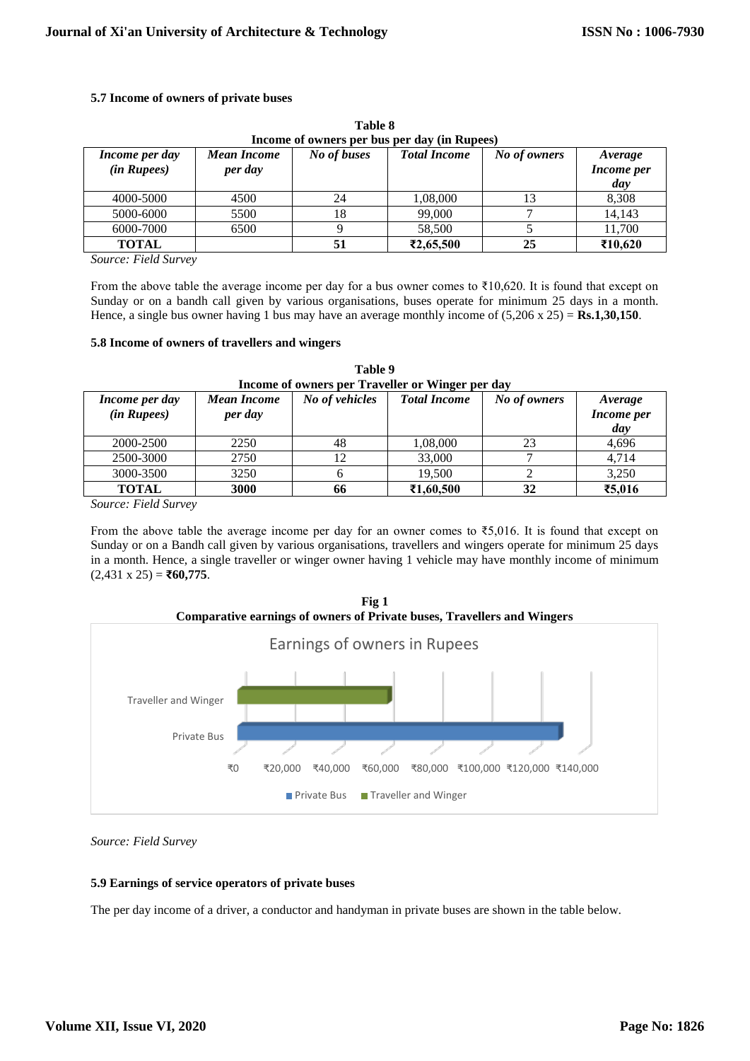# **5.7 Income of owners of private buses**

| Income of owners per bus per day (in Rupees) |                               |             |                     |              |                                     |  |
|----------------------------------------------|-------------------------------|-------------|---------------------|--------------|-------------------------------------|--|
| Income per day<br>(in Rupees)                | <b>Mean Income</b><br>per day | No of buses | <b>Total Income</b> | No of owners | Average<br><b>Income</b> per<br>day |  |
| 4000-5000                                    | 4500                          | 24          | 1,08,000            |              | 8,308                               |  |
| 5000-6000                                    | 5500                          |             | 99,000              |              | 14,143                              |  |
| 6000-7000                                    | 6500                          |             | 58,500              |              | 11,700                              |  |
| <b>TOTAL</b>                                 |                               |             | ₹2,65,500           | 25           | ₹10,620                             |  |

**Table 8**

*Source: Field Survey*

From the above table the average income per day for a bus owner comes to ₹10,620. It is found that except on Sunday or on a bandh call given by various organisations, buses operate for minimum 25 days in a month. Hence, a single bus owner having 1 bus may have an average monthly income of (5,206 x 25) = **Rs.1,30,150**.

#### **5.8 Income of owners of travellers and wingers**

| Income of owners per Traveller or Winger per day |                               |                |                     |              |                              |  |
|--------------------------------------------------|-------------------------------|----------------|---------------------|--------------|------------------------------|--|
| Income per day<br>(in Rupees)                    | <b>Mean Income</b><br>per day | No of vehicles | <b>Total Income</b> | No of owners | Average<br>Income per<br>day |  |
| 2000-2500                                        | 2250                          | 48             | 1,08,000            | 23           | 4,696                        |  |
| 2500-3000                                        | 2750                          | 12             | 33,000              |              | 4.714                        |  |
| 3000-3500                                        | 3250                          |                | 19,500              |              | 3,250                        |  |
| <b>TOTAL</b>                                     | 3000                          | 66             | ₹1,60,500           | 32           | ₹5,016                       |  |

**Table 9**

*Source: Field Survey*

From the above table the average income per day for an owner comes to ₹5,016. It is found that except on Sunday or on a Bandh call given by various organisations, travellers and wingers operate for minimum 25 days in a month. Hence, a single traveller or winger owner having 1 vehicle may have monthly income of minimum (2,431 x 25) = **₹60,775**.



**Fig 1**

*Source: Field Survey*

# **5.9 Earnings of service operators of private buses**

The per day income of a driver, a conductor and handyman in private buses are shown in the table below.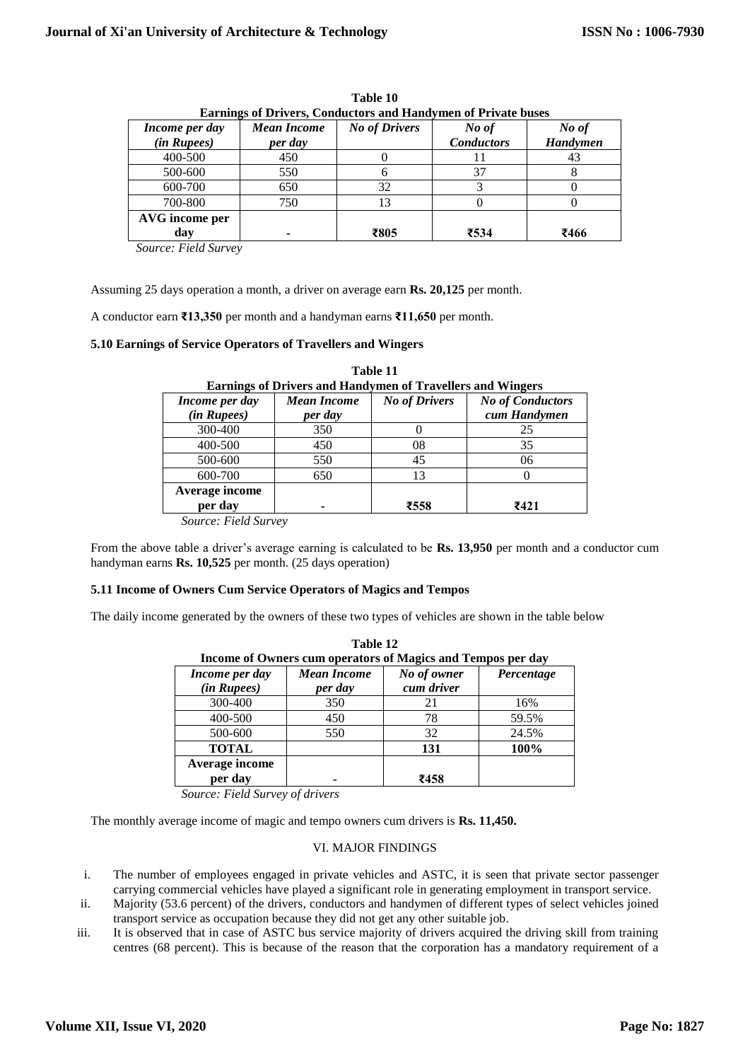| Income per day<br>(in Rupees) | <b>Mean Income</b><br>per day | <b>No of Drivers</b> | No of<br><b>Conductors</b> | No of<br><b>Handymen</b> |
|-------------------------------|-------------------------------|----------------------|----------------------------|--------------------------|
| 400-500                       | 450                           |                      |                            | 43                       |
| 500-600                       | 550                           |                      | 37                         |                          |
| 600-700                       | 650                           | 32                   |                            |                          |
| 700-800                       | 750                           |                      |                            |                          |
| AVG income per<br>day         |                               | ₹805                 | ₹534                       | ₹466                     |

**Table 10 Earnings of Drivers, Conductors and Handymen of Private buses**

*Source: Field Survey*

Assuming 25 days operation a month, a driver on average earn **Rs. 20,125** per month.

A conductor earn **₹13,350** per month and a handyman earns **₹11,650** per month.

#### **5.10 Earnings of Service Operators of Travellers and Wingers**

| <b>Earnings of Drivers and Handymen of Travellers and Wingers</b> |                    |                      |                         |  |  |
|-------------------------------------------------------------------|--------------------|----------------------|-------------------------|--|--|
| Income per day                                                    | <b>Mean Income</b> | <b>No of Drivers</b> | <b>No of Conductors</b> |  |  |
| (in Rupees)                                                       | per day            |                      | cum Handymen            |  |  |
| 300-400                                                           | 350                |                      | 25                      |  |  |
| 400-500                                                           | 450                | 08                   | 35                      |  |  |
| 500-600                                                           | 550                | 45                   | 06                      |  |  |
| 600-700                                                           | 650                | 13                   |                         |  |  |
| Average income<br>per day                                         |                    | ₹558                 | ₹421                    |  |  |
| $\alpha$ $\Gamma$ $\Gamma$ $\Gamma$                               |                    |                      |                         |  |  |

**Table 11**

*Source: Field Survey*

From the above table a driver's average earning is calculated to be **Rs. 13,950** per month and a conductor cum handyman earns **Rs. 10,525** per month. (25 days operation)

# **5.11 Income of Owners Cum Service Operators of Magics and Tempos**

The daily income generated by the owners of these two types of vehicles are shown in the table below

| Table 12<br>Income of Owners cum operators of Magics and Tempos per day |                               |                           |            |
|-------------------------------------------------------------------------|-------------------------------|---------------------------|------------|
| Income per day<br>(in Rupees)                                           | <b>Mean Income</b><br>per day | No of owner<br>cum driver | Percentage |
| 300-400                                                                 | 350                           | 21                        | 16%        |
| 400-500                                                                 | 450                           | 78                        | 59.5%      |
| 500-600                                                                 | 550                           | 32                        | 24.5%      |
| <b>TOTAL</b>                                                            |                               | 131                       | 100%       |
| Average income<br>per day                                               |                               | ₹458                      |            |

*Source: Field Survey of drivers*

The monthly average income of magic and tempo owners cum drivers is **Rs. 11,450.**

# VI. MAJOR FINDINGS

- i. The number of employees engaged in private vehicles and ASTC, it is seen that private sector passenger carrying commercial vehicles have played a significant role in generating employment in transport service.
- ii. Majority (53.6 percent) of the drivers, conductors and handymen of different types of select vehicles joined transport service as occupation because they did not get any other suitable job.
- iii. It is observed that in case of ASTC bus service majority of drivers acquired the driving skill from training centres (68 percent). This is because of the reason that the corporation has a mandatory requirement of a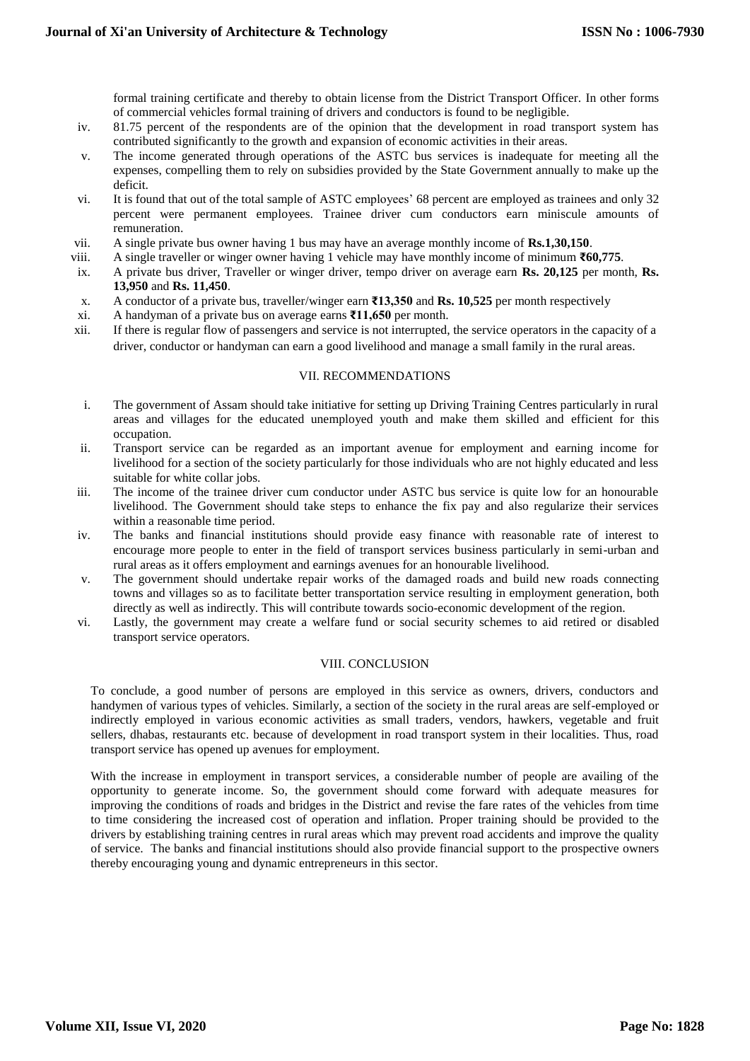formal training certificate and thereby to obtain license from the District Transport Officer. In other forms of commercial vehicles formal training of drivers and conductors is found to be negligible.

- iv. 81.75 percent of the respondents are of the opinion that the development in road transport system has contributed significantly to the growth and expansion of economic activities in their areas.
- v. The income generated through operations of the ASTC bus services is inadequate for meeting all the expenses, compelling them to rely on subsidies provided by the State Government annually to make up the deficit.
- vi. It is found that out of the total sample of ASTC employees' 68 percent are employed as trainees and only 32 percent were permanent employees. Trainee driver cum conductors earn miniscule amounts of remuneration.
- vii. A single private bus owner having 1 bus may have an average monthly income of **Rs.1,30,150**.
- viii. A single traveller or winger owner having 1 vehicle may have monthly income of minimum **₹60,775**.
- ix. A private bus driver, Traveller or winger driver, tempo driver on average earn **Rs. 20,125** per month, **Rs. 13,950** and **Rs. 11,450**.
- x. A conductor of a private bus, traveller/winger earn **₹13,350** and **Rs. 10,525** per month respectively
- xi. A handyman of a private bus on average earns **₹11,650** per month.
- xii. If there is regular flow of passengers and service is not interrupted, the service operators in the capacity of a driver, conductor or handyman can earn a good livelihood and manage a small family in the rural areas.

#### VII. RECOMMENDATIONS

- i. The government of Assam should take initiative for setting up Driving Training Centres particularly in rural areas and villages for the educated unemployed youth and make them skilled and efficient for this occupation.
- ii. Transport service can be regarded as an important avenue for employment and earning income for livelihood for a section of the society particularly for those individuals who are not highly educated and less suitable for white collar jobs.
- iii. The income of the trainee driver cum conductor under ASTC bus service is quite low for an honourable livelihood. The Government should take steps to enhance the fix pay and also regularize their services within a reasonable time period.
- iv. The banks and financial institutions should provide easy finance with reasonable rate of interest to encourage more people to enter in the field of transport services business particularly in semi-urban and rural areas as it offers employment and earnings avenues for an honourable livelihood.
- v. The government should undertake repair works of the damaged roads and build new roads connecting towns and villages so as to facilitate better transportation service resulting in employment generation, both directly as well as indirectly. This will contribute towards socio-economic development of the region.
- vi. Lastly, the government may create a welfare fund or social security schemes to aid retired or disabled transport service operators.

# VIII. CONCLUSION

To conclude, a good number of persons are employed in this service as owners, drivers, conductors and handymen of various types of vehicles. Similarly, a section of the society in the rural areas are self-employed or indirectly employed in various economic activities as small traders, vendors, hawkers, vegetable and fruit sellers, dhabas, restaurants etc. because of development in road transport system in their localities. Thus, road transport service has opened up avenues for employment.

With the increase in employment in transport services, a considerable number of people are availing of the opportunity to generate income. So, the government should come forward with adequate measures for improving the conditions of roads and bridges in the District and revise the fare rates of the vehicles from time to time considering the increased cost of operation and inflation. Proper training should be provided to the drivers by establishing training centres in rural areas which may prevent road accidents and improve the quality of service. The banks and financial institutions should also provide financial support to the prospective owners thereby encouraging young and dynamic entrepreneurs in this sector.